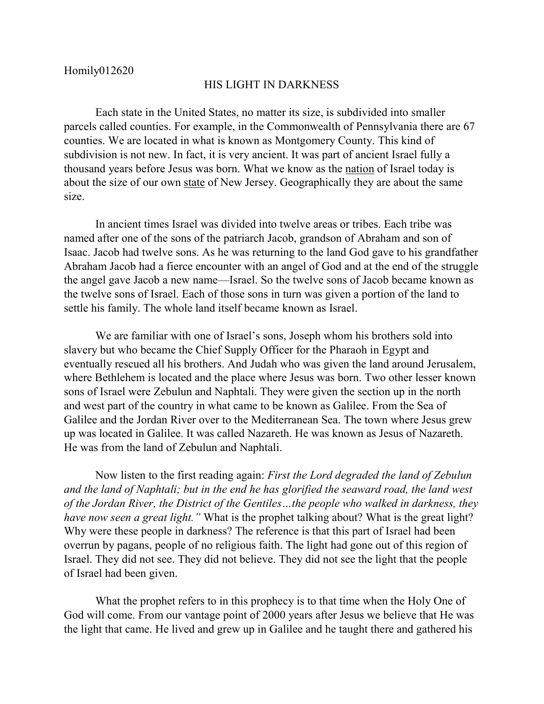## HIS LIGHT IN DARKNESS

Each state in the United States, no matter its size, is subdivided into smaller parcels called counties. For example, in the Commonwealth of Pennsylvania there are 67 counties. We are located in what is known as Montgomery County. This kind of subdivision is not new. In fact, it is very ancient. It was part of ancient Israel fully a thousand years before Jesus was born. What we know as the nation of Israel today is about the size of our own state of New Jersey. Geographically they are about the same size.

In ancient times Israel was divided into twelve areas or tribes. Each tribe was named after one of the sons of the patriarch Jacob, grandson of Abraham and son of Isaac. Jacob had twelve sons. As he was returning to the land God gave to his grandfather Abraham Jacob had a fierce encounter with an angel of God and at the end of the struggle the angel gave Jacob a new name—Israel. So the twelve sons of Jacob became known as the twelve sons of Israel. Each of those sons in turn was given a portion of the land to settle his family. The whole land itself became known as Israel.

We are familiar with one of Israel's sons, Joseph whom his brothers sold into slavery but who became the Chief Supply Officer for the Pharaoh in Egypt and eventually rescued all his brothers. And Judah who was given the land around Jerusalem, where Bethlehem is located and the place where Jesus was born. Two other lesser known sons of Israel were Zebulun and Naphtali. They were given the section up in the north and west part of the country in what came to be known as Galilee. From the Sea of Galilee and the Jordan River over to the Mediterranean Sea. The town where Jesus grew up was located in Galilee. It was called Nazareth. He was known as Jesus of Nazareth. He was from the land of Zebulun and Naphtali.

Now listen to the first reading again: *First the Lord degraded the land of Zebulun and the land of Naphtali; but in the end he has glorified the seaward road, the land west of the Jordan River, the District of the Gentiles…the people who walked in darkness, they have now seen a great light."* What is the prophet talking about? What is the great light? Why were these people in darkness? The reference is that this part of Israel had been overrun by pagans, people of no religious faith. The light had gone out of this region of Israel. They did not see. They did not believe. They did not see the light that the people of Israel had been given.

What the prophet refers to in this prophecy is to that time when the Holy One of God will come. From our vantage point of 2000 years after Jesus we believe that He was the light that came. He lived and grew up in Galilee and he taught there and gathered his